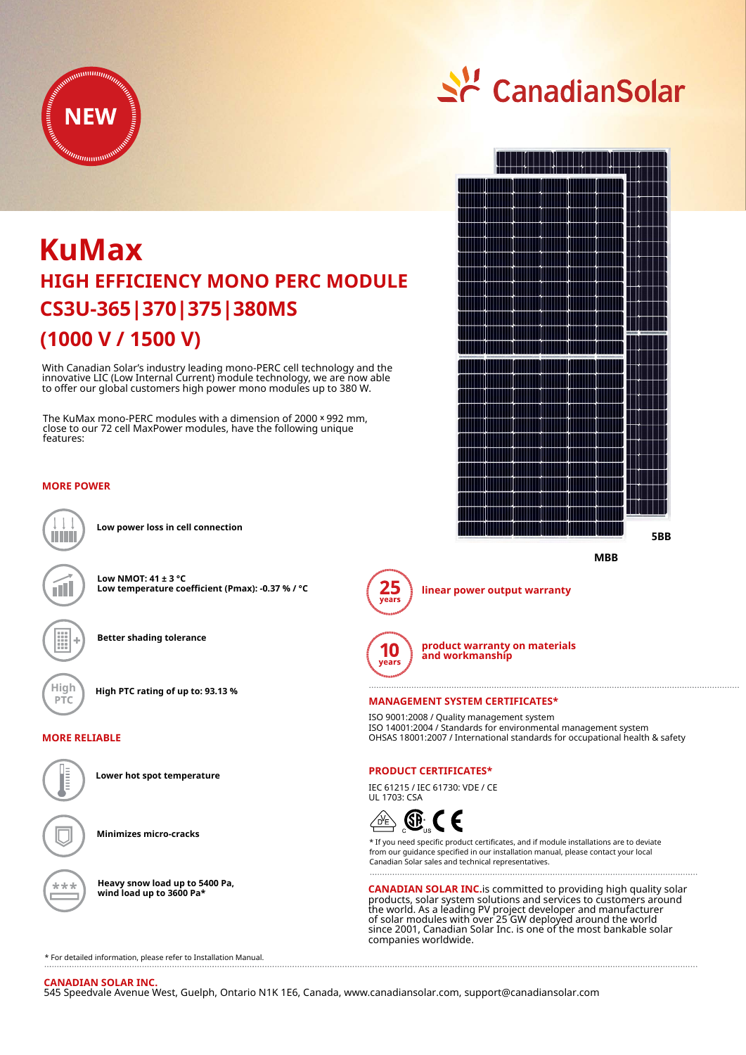

# **(1000 V / 1500 V) KuMax CS3U-365|370|375|380MS HIGH EFFICIENCY MONO PERC MODULE**

With Canadian Solar's industry leading mono-PERC cell technology and the innovative LIC (Low Internal Current) module technology, we are now able to offer our global customers high power mono modules up to 380 W.

The KuMax mono-PERC modules with a dimension of 2000 × 992 mm, close to our 72 cell MaxPower modules, have the following unique features:

# **MORE POWER**



**Low power loss in cell connection**

**Low NMOT: 41 ± 3 °C Low temperature coefficient (Pmax): -0.37 % / °C**

**Better shading tolerance**



**High High PTC rating of up to: 93.13 %**

## **MORE RELIABLE**



**Lower hot spot temperature**

**Minimizes micro-cracks**

**Heavy snow load up to 5400 Pa, wind load up to 3600 Pa\***

<u>수</u> CanadianSolar







**linear power output warranty**



**product warranty on materials and workmanship**

#### **MANAGEMENT SYSTEM CERTIFICATES\***

ISO 9001:2008 / Quality management system ISO 14001:2004 / Standards for environmental management system OHSAS 18001:2007 / International standards for occupational health & safety

## **PRODUCT CERTIFICATES\***

IEC 61215 / IEC 61730: VDE / CE UL 1703: CSA



\* If you need specific product certificates, and if module installations are to deviate from our guidance specified in our installation manual, please contact your local Canadian Solar sales and technical representatives.

**CANADIAN SOLAR INC.**is committed to providing high quality solar products, solar system solutions and services to customers around the world. As a leading PV project developer and manufacturer of solar modules with over 25 GW deployed around the world since 2001, Canadian Solar Inc. is one of the most bankable solar companies worldwide.

\* For detailed information, please refer to Installation Manual.

#### **CANADIAN SOLAR INC.**

545 Speedvale Avenue West, Guelph, Ontario N1K 1E6, Canada, www.canadiansolar.com, support@canadiansolar.com